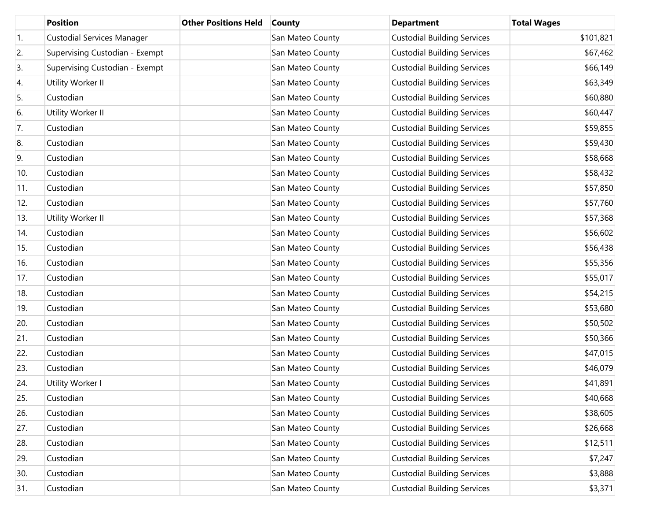|     | <b>Position</b>                   | <b>Other Positions Held</b> | <b>County</b>    | <b>Department</b>                  | <b>Total Wages</b> |
|-----|-----------------------------------|-----------------------------|------------------|------------------------------------|--------------------|
| 1.  | <b>Custodial Services Manager</b> |                             | San Mateo County | <b>Custodial Building Services</b> | \$101,821          |
| 2.  | Supervising Custodian - Exempt    |                             | San Mateo County | <b>Custodial Building Services</b> | \$67,462           |
| 3.  | Supervising Custodian - Exempt    |                             | San Mateo County | <b>Custodial Building Services</b> | \$66,149           |
| 4.  | Utility Worker II                 |                             | San Mateo County | <b>Custodial Building Services</b> | \$63,349           |
| 5.  | Custodian                         |                             | San Mateo County | <b>Custodial Building Services</b> | \$60,880           |
| 6.  | Utility Worker II                 |                             | San Mateo County | <b>Custodial Building Services</b> | \$60,447           |
| 7.  | Custodian                         |                             | San Mateo County | <b>Custodial Building Services</b> | \$59,855           |
| 8.  | Custodian                         |                             | San Mateo County | <b>Custodial Building Services</b> | \$59,430           |
| 9.  | Custodian                         |                             | San Mateo County | <b>Custodial Building Services</b> | \$58,668           |
| 10. | Custodian                         |                             | San Mateo County | <b>Custodial Building Services</b> | \$58,432           |
| 11. | Custodian                         |                             | San Mateo County | <b>Custodial Building Services</b> | \$57,850           |
| 12. | Custodian                         |                             | San Mateo County | <b>Custodial Building Services</b> | \$57,760           |
| 13. | Utility Worker II                 |                             | San Mateo County | <b>Custodial Building Services</b> | \$57,368           |
| 14. | Custodian                         |                             | San Mateo County | <b>Custodial Building Services</b> | \$56,602           |
| 15. | Custodian                         |                             | San Mateo County | <b>Custodial Building Services</b> | \$56,438           |
| 16. | Custodian                         |                             | San Mateo County | <b>Custodial Building Services</b> | \$55,356           |
| 17. | Custodian                         |                             | San Mateo County | <b>Custodial Building Services</b> | \$55,017           |
| 18. | Custodian                         |                             | San Mateo County | <b>Custodial Building Services</b> | \$54,215           |
| 19. | Custodian                         |                             | San Mateo County | <b>Custodial Building Services</b> | \$53,680           |
| 20. | Custodian                         |                             | San Mateo County | <b>Custodial Building Services</b> | \$50,502           |
| 21. | Custodian                         |                             | San Mateo County | <b>Custodial Building Services</b> | \$50,366           |
| 22. | Custodian                         |                             | San Mateo County | <b>Custodial Building Services</b> | \$47,015           |
| 23. | Custodian                         |                             | San Mateo County | <b>Custodial Building Services</b> | \$46,079           |
| 24. | Utility Worker I                  |                             | San Mateo County | <b>Custodial Building Services</b> | \$41,891           |
| 25. | Custodian                         |                             | San Mateo County | <b>Custodial Building Services</b> | \$40,668           |
| 26. | Custodian                         |                             | San Mateo County | <b>Custodial Building Services</b> | \$38,605           |
| 27. | Custodian                         |                             | San Mateo County | <b>Custodial Building Services</b> | \$26,668           |
| 28. | Custodian                         |                             | San Mateo County | <b>Custodial Building Services</b> | \$12,511           |
| 29. | Custodian                         |                             | San Mateo County | <b>Custodial Building Services</b> | \$7,247            |
| 30. | Custodian                         |                             | San Mateo County | <b>Custodial Building Services</b> | \$3,888            |
| 31. | Custodian                         |                             | San Mateo County | <b>Custodial Building Services</b> | \$3,371            |